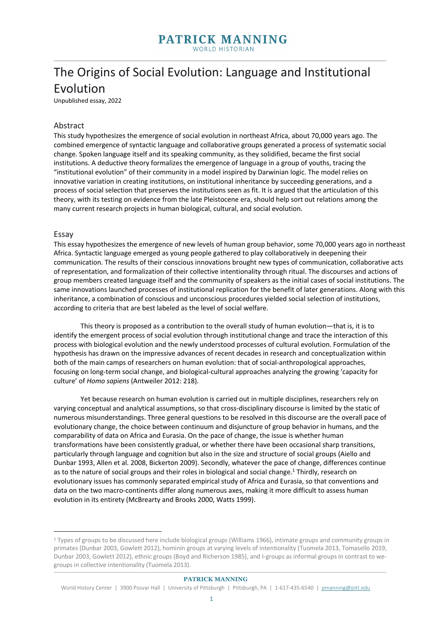## The Origins of Social Evolution: Language and Institutional Evolution

Unpublished essay, 2022

## Abstract

This study hypothesizes the emergence of social evolution in northeast Africa, about 70,000 years ago. The combined emergence of syntactic language and collaborative groups generated a process of systematic social change. Spoken language itself and its speaking community, as they solidified, became the first social institutions. A deductive theory formalizes the emergence of language in a group of youths, tracing the "institutional evolution" of their community in a model inspired by Darwinian logic. The model relies on innovative variation in creating institutions, on institutional inheritance by succeeding generations, and a process of social selection that preserves the institutions seen as fit. It is argued that the articulation of this theory, with its testing on evidence from the late Pleistocene era, should help sort out relations among the many current research projects in human biological, cultural, and social evolution.

#### Essay

This essay hypothesizes the emergence of new levels of human group behavior, some 70,000 years ago in northeast Africa. Syntactic language emerged as young people gathered to play collaboratively in deepening their communication. The results of their conscious innovations brought new types of communication, collaborative acts of representation, and formalization of their collective intentionality through ritual. The discourses and actions of group members created language itself and the community of speakers as the initial cases of social institutions. The same innovations launched processes of institutional replication for the benefit of later generations. Along with this inheritance, a combination of conscious and unconscious procedures yielded social selection of institutions, according to criteria that are best labeled as the level of social welfare.

This theory is proposed as a contribution to the overall study of human evolution—that is, it is to identify the emergent process of social evolution through institutional change and trace the interaction of this process with biological evolution and the newly understood processes of cultural evolution. Formulation of the hypothesis has drawn on the impressive advances of recent decades in research and conceptualization within both of the main camps of researchers on human evolution: that of social-anthropological approaches, focusing on long-term social change, and biological-cultural approaches analyzing the growing 'capacity for culture' of *Homo sapiens* (Antweiler 2012: 218)*.*

Yet because research on human evolution is carried out in multiple disciplines, researchers rely on varying conceptual and analytical assumptions, so that cross-disciplinary discourse is limited by the static of numerous misunderstandings. Three general questions to be resolved in this discourse are the overall pace of evolutionary change, the choice between continuum and disjuncture of group behavior in humans, and the comparability of data on Africa and Eurasia. On the pace of change, the issue is whether human transformations have been consistently gradual, or whether there have been occasional sharp transitions, particularly through language and cognition but also in the size and structure of social groups (Aiello and Dunbar 1993, Allen et al. 2008, Bickerton 2009). Secondly, whatever the pace of change, differences continue as to the nature of social groups and their roles in biological and social change.1 Thirdly, research on evolutionary issues has commonly separated empirical study of Africa and Eurasia, so that conventions and data on the two macro-continents differ along numerous axes, making it more difficult to assess human evolution in its entirety (McBrearty and Brooks 2000, Watts 1999).

<sup>1</sup> Types of groups to be discussed here include biological groups (Williams 1966), intimate groups and community groups in primates (Dunbar 2003, Gowlett 2012), hominin groups at varying levels of intentionality (Tuomela 2013, Tomasello 2019, Dunbar 2003, Gowlett 2012), ethnic groups (Boyd and Richerson 1985), and I-groups as informal groups in contrast to wegroups in collective intentionality (Tuomela 2013).

World History Center | 3900 Posvar Hall | University of Pittsburgh | Pittsburgh, PA | 1-617-435-6540 | pmanning@pitt.edu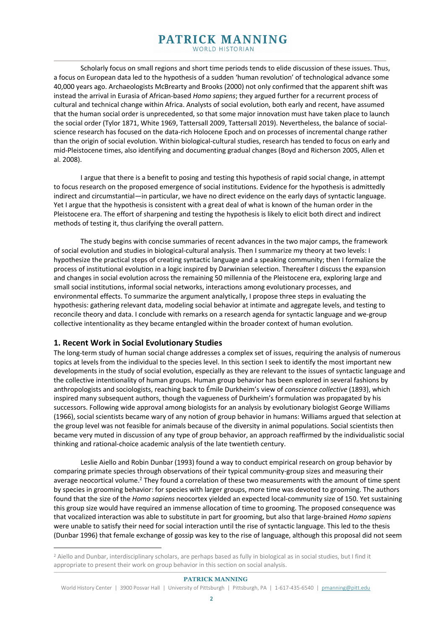Scholarly focus on small regions and short time periods tends to elide discussion of these issues. Thus, a focus on European data led to the hypothesis of a sudden 'human revolution' of technological advance some 40,000 years ago. Archaeologists McBrearty and Brooks (2000) not only confirmed that the apparent shift was instead the arrival in Eurasia of African-based *Homo sapiens*; they argued further for a recurrent process of cultural and technical change within Africa. Analysts of social evolution, both early and recent, have assumed that the human social order is unprecedented, so that some major innovation must have taken place to launch the social order (Tylor 1871, White 1969, Tattersall 2009, Tattersall 2019). Nevertheless, the balance of socialscience research has focused on the data-rich Holocene Epoch and on processes of incremental change rather than the origin of social evolution. Within biological-cultural studies, research has tended to focus on early and mid-Pleistocene times, also identifying and documenting gradual changes (Boyd and Richerson 2005, Allen et al. 2008).

I argue that there is a benefit to posing and testing this hypothesis of rapid social change, in attempt to focus research on the proposed emergence of social institutions. Evidence for the hypothesis is admittedly indirect and circumstantial—in particular, we have no direct evidence on the early days of syntactic language. Yet I argue that the hypothesis is consistent with a great deal of what is known of the human order in the Pleistocene era. The effort of sharpening and testing the hypothesis is likely to elicit both direct and indirect methods of testing it, thus clarifying the overall pattern.

The study begins with concise summaries of recent advances in the two major camps, the framework of social evolution and studies in biological-cultural analysis. Then I summarize my theory at two levels: I hypothesize the practical steps of creating syntactic language and a speaking community; then I formalize the process of institutional evolution in a logic inspired by Darwinian selection. Thereafter I discuss the expansion and changes in social evolution across the remaining 50 millennia of the Pleistocene era, exploring large and small social institutions, informal social networks, interactions among evolutionary processes, and environmental effects. To summarize the argument analytically, I propose three steps in evaluating the hypothesis: gathering relevant data, modeling social behavior at intimate and aggregate levels, and testing to reconcile theory and data. I conclude with remarks on a research agenda for syntactic language and we-group collective intentionality as they became entangled within the broader context of human evolution.

## **1. Recent Work in Social Evolutionary Studies**

The long-term study of human social change addresses a complex set of issues, requiring the analysis of numerous topics at levels from the individual to the species level. In this section I seek to identify the most important new developments in the study of social evolution, especially as they are relevant to the issues of syntactic language and the collective intentionality of human groups. Human group behavior has been explored in several fashions by anthropologists and sociologists, reaching back to Émile Durkheim's view of *conscience collective* (1893), which inspired many subsequent authors, though the vagueness of Durkheim's formulation was propagated by his successors. Following wide approval among biologists for an analysis by evolutionary biologist George Williams (1966), social scientists became wary of any notion of group behavior in humans: Williams argued that selection at the group level was not feasible for animals because of the diversity in animal populations. Social scientists then became very muted in discussion of any type of group behavior, an approach reaffirmed by the individualistic social thinking and rational-choice academic analysis of the late twentieth century.

Leslie Aiello and Robin Dunbar (1993) found a way to conduct empirical research on group behavior by comparing primate species through observations of their typical community-group sizes and measuring their average neocortical volume.<sup>2</sup> They found a correlation of these two measurements with the amount of time spent by species in grooming behavior: for species with larger groups, more time was devoted to grooming. The authors found that the size of the *Homo sapiens* neocortex yielded an expected local-community size of 150. Yet sustaining this group size would have required an immense allocation of time to grooming. The proposed consequence was that vocalized interaction was able to substitute in part for grooming, but also that large-brained *Homo sapiens*  were unable to satisfy their need for social interaction until the rise of syntactic language. This led to the thesis (Dunbar 1996) that female exchange of gossip was key to the rise of language, although this proposal did not seem

<sup>2</sup> Aiello and Dunbar, interdisciplinary scholars, are perhaps based as fully in biological as in social studies, but I find it appropriate to present their work on group behavior in this section on social analysis.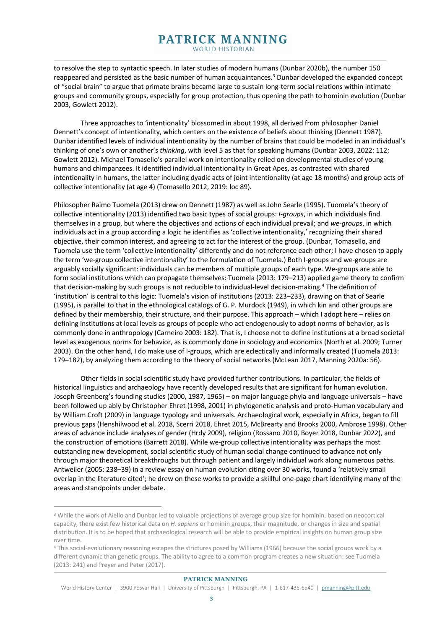to resolve the step to syntactic speech. In later studies of modern humans (Dunbar 2020b), the number 150 reappeared and persisted as the basic number of human acquaintances.<sup>3</sup> Dunbar developed the expanded concept of "social brain" to argue that primate brains became large to sustain long-term social relations within intimate groups and community groups, especially for group protection, thus opening the path to hominin evolution (Dunbar 2003, Gowlett 2012).

Three approaches to 'intentionality' blossomed in about 1998, all derived from philosopher Daniel Dennett's concept of intentionality, which centers on the existence of beliefs about thinking (Dennett 1987). Dunbar identified levels of individual intentionality by the number of brains that could be modeled in an individual's thinking of one's own or another's *thinking*, with level 5 as that for speaking humans (Dunbar 2003, 2022: 112; Gowlett 2012). Michael Tomasello's parallel work on intentionality relied on developmental studies of young humans and chimpanzees. It identified individual intentionality in Great Apes, as contrasted with shared intentionality in humans, the latter including dyadic acts of joint intentionality (at age 18 months) and group acts of collective intentionality (at age 4) (Tomasello 2012, 2019: loc 89).

Philosopher Raimo Tuomela (2013) drew on Dennett (1987) as well as John Searle (1995). Tuomela's theory of collective intentionality (2013) identified two basic types of social groups: *I-groups*, in which individuals find themselves in a group, but where the objectives and actions of each individual prevail; and *we-groups*, in which individuals act in a group according a logic he identifies as 'collective intentionality,' recognizing their shared objective, their common interest, and agreeing to act for the interest of the group. (Dunbar, Tomasello, and Tuomela use the term 'collective intentionality' differently and do not reference each other; I have chosen to apply the term 'we-group collective intentionality' to the formulation of Tuomela.) Both I-groups and we-groups are arguably socially significant: individuals can be members of multiple groups of each type. We-groups are able to form social institutions which can propagate themselves: Tuomela (2013: 179–213) applied game theory to confirm that decision-making by such groups is not reducible to individual-level decision-making.4 The definition of 'institution' is central to this logic: Tuomela's vision of institutions (2013: 223–233), drawing on that of Searle (1995), is parallel to that in the ethnological catalogs of G. P. Murdock (1949), in which kin and other groups are defined by their membership, their structure, and their purpose. This approach – which I adopt here – relies on defining institutions at local levels as groups of people who act endogenously to adopt norms of behavior, as is commonly done in anthropology (Carneiro 2003: 182). That is, I choose not to define institutions at a broad societal level as exogenous norms for behavior, as is commonly done in sociology and economics (North et al. 2009; Turner 2003). On the other hand, I do make use of I-groups, which are eclectically and informally created (Tuomela 2013: 179–182), by analyzing them according to the theory of social networks (McLean 2017, Manning 2020a: 56).

Other fields in social scientific study have provided further contributions. In particular, the fields of historical linguistics and archaeology have recently developed results that are significant for human evolution. Joseph Greenberg's founding studies (2000, 1987, 1965) – on major language phyla and language universals – have been followed up ably by Christopher Ehret (1998, 2001) in phylogenetic analysis and proto-Human vocabulary and by William Croft (2009) in language typology and universals. Archaeological work, especially in Africa, began to fill previous gaps (Henshilwood et al. 2018, Scerri 2018, Ehret 2015, McBrearty and Brooks 2000, Ambrose 1998). Other areas of advance include analyses of gender (Hrdy 2009), religion (Rossano 2010, Boyer 2018, Dunbar 2022), and the construction of emotions (Barrett 2018). While we-group collective intentionality was perhaps the most outstanding new development, social scientific study of human social change continued to advance not only through major theoretical breakthroughs but through patient and largely individual work along numerous paths. Antweiler (2005: 238–39) in a review essay on human evolution citing over 30 works, found a 'relatively small overlap in the literature cited'; he drew on these works to provide a skillful one-page chart identifying many of the areas and standpoints under debate.

<sup>&</sup>lt;sup>3</sup> While the work of Aiello and Dunbar led to valuable projections of average group size for hominin, based on neocortical capacity, there exist few historical data on *H. sapiens* or hominin groups, their magnitude, or changes in size and spatial distribution. It is to be hoped that archaeological research will be able to provide empirical insights on human group size over time.

<sup>4</sup> This social-evolutionary reasoning escapes the strictures posed by Williams (1966) because the social groups work by a different dynamic than genetic groups. The ability to agree to a common program creates a new situation: see Tuomela (2013: 241) and Preyer and Peter (2017).

World History Center | 3900 Posvar Hall | University of Pittsburgh | Pittsburgh, PA | 1-617-435-6540 | pmanning@pitt.edu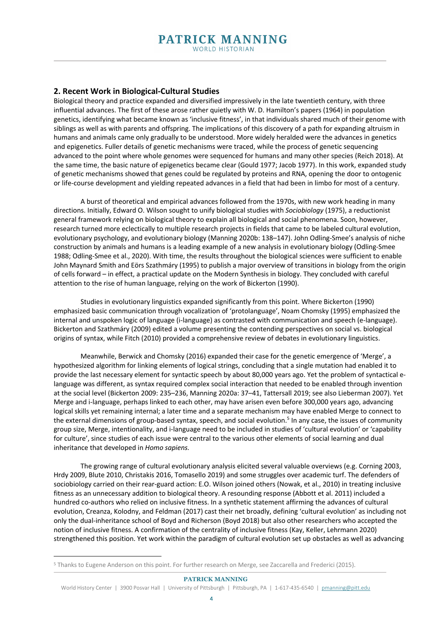## **2. Recent Work in Biological-Cultural Studies**

Biological theory and practice expanded and diversified impressively in the late twentieth century, with three influential advances. The first of these arose rather quietly with W. D. Hamilton's papers (1964) in population genetics, identifying what became known as 'inclusive fitness', in that individuals shared much of their genome with siblings as well as with parents and offspring. The implications of this discovery of a path for expanding altruism in humans and animals came only gradually to be understood. More widely heralded were the advances in genetics and epigenetics. Fuller details of genetic mechanisms were traced, while the process of genetic sequencing advanced to the point where whole genomes were sequenced for humans and many other species (Reich 2018). At the same time, the basic nature of epigenetics became clear (Gould 1977; Jacob 1977). In this work, expanded study of genetic mechanisms showed that genes could be regulated by proteins and RNA, opening the door to ontogenic or life-course development and yielding repeated advances in a field that had been in limbo for most of a century.

A burst of theoretical and empirical advances followed from the 1970s, with new work heading in many directions. Initially, Edward O. Wilson sought to unify biological studies with *Sociobiology* (1975), a reductionist general framework relying on biological theory to explain all biological and social phenomena. Soon, however, research turned more eclectically to multiple research projects in fields that came to be labeled cultural evolution, evolutionary psychology, and evolutionary biology (Manning 2020b: 138–147). John Odling-Smee's analysis of niche construction by animals and humans is a leading example of a new analysis in evolutionary biology (Odling-Smee 1988; Odling-Smee et al., 2020). With time, the results throughout the biological sciences were sufficient to enable John Maynard Smith and Eörs Szathmáry (1995) to publish a major overview of transitions in biology from the origin of cells forward – in effect, a practical update on the Modern Synthesis in biology. They concluded with careful attention to the rise of human language, relying on the work of Bickerton (1990).

Studies in evolutionary linguistics expanded significantly from this point. Where Bickerton (1990) emphasized basic communication through vocalization of 'protolanguage', Noam Chomsky (1995) emphasized the internal and unspoken logic of language (i-language) as contrasted with communication and speech (e-language). Bickerton and Szathmáry (2009) edited a volume presenting the contending perspectives on social vs. biological origins of syntax, while Fitch (2010) provided a comprehensive review of debates in evolutionary linguistics.

Meanwhile, Berwick and Chomsky (2016) expanded their case for the genetic emergence of 'Merge', a hypothesized algorithm for linking elements of logical strings, concluding that a single mutation had enabled it to provide the last necessary element for syntactic speech by about 80,000 years ago. Yet the problem of syntactical elanguage was different, as syntax required complex social interaction that needed to be enabled through invention at the social level (Bickerton 2009: 235–236, Manning 2020a: 37–41, Tattersall 2019; see also Lieberman 2007). Yet Merge and i-language, perhaps linked to each other, may have arisen even before 300,000 years ago, advancing logical skills yet remaining internal; a later time and a separate mechanism may have enabled Merge to connect to the external dimensions of group-based syntax, speech, and social evolution. <sup>5</sup> In any case, the issues of community group size, Merge, intentionality, and i-language need to be included in studies of 'cultural evolution' or 'capability for culture', since studies of each issue were central to the various other elements of social learning and dual inheritance that developed in *Homo sapiens.*

The growing range of cultural evolutionary analysis elicited several valuable overviews (e.g. Corning 2003, Hrdy 2009, Blute 2010, Christakis 2016, Tomasello 2019) and some struggles over academic turf. The defenders of sociobiology carried on their rear-guard action: E.O. Wilson joined others (Nowak, et al., 2010) in treating inclusive fitness as an unnecessary addition to biological theory. A resounding response (Abbott et al. 2011) included a hundred co-authors who relied on inclusive fitness. In a synthetic statement affirming the advances of cultural evolution, Creanza, Kolodny, and Feldman (2017) cast their net broadly, defining 'cultural evolution' as including not only the dual-inheritance school of Boyd and Richerson (Boyd 2018) but also other researchers who accepted the notion of inclusive fitness. A confirmation of the centrality of inclusive fitness (Kay, Keller, Lehrmann 2020) strengthened this position. Yet work within the paradigm of cultural evolution set up obstacles as well as advancing

<sup>5</sup> Thanks to Eugene Anderson on this point. For further research on Merge, see Zaccarella and Frederici (2015).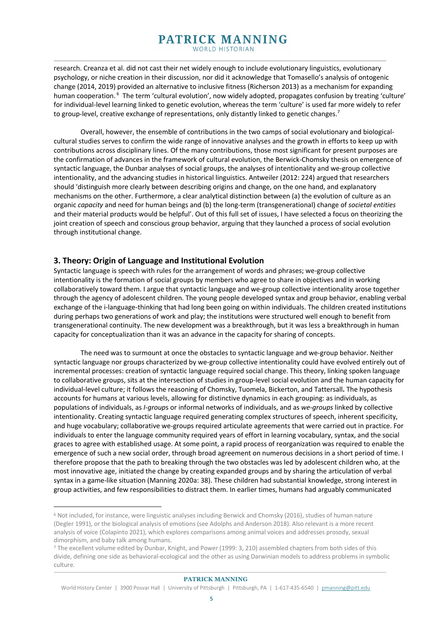research. Creanza et al. did not cast their net widely enough to include evolutionary linguistics, evolutionary psychology, or niche creation in their discussion, nor did it acknowledge that Tomasello's analysis of ontogenic change (2014, 2019) provided an alternative to inclusive fitness (Richerson 2013) as a mechanism for expanding human cooperation. <sup>6</sup> The term 'cultural evolution', now widely adopted, propagates confusion by treating 'culture' for individual-level learning linked to genetic evolution, whereas the term 'culture' is used far more widely to refer to group-level, creative exchange of representations, only distantly linked to genetic changes.<sup>7</sup>

Overall, however, the ensemble of contributions in the two camps of social evolutionary and biologicalcultural studies serves to confirm the wide range of innovative analyses and the growth in efforts to keep up with contributions across disciplinary lines. Of the many contributions, those most significant for present purposes are the confirmation of advances in the framework of cultural evolution, the Berwick-Chomsky thesis on emergence of syntactic language, the Dunbar analyses of social groups, the analyses of intentionality and we-group collective intentionality, and the advancing studies in historical linguistics. Antweiler (2012: 224) argued that researchers should 'distinguish more clearly between describing origins and change, on the one hand, and explanatory mechanisms on the other. Furthermore, a clear analytical distinction between (a) the evolution of culture as an organic *capacity* and need for human beings and (b) the long-term (transgenerational) change of *societal entities* and their material products would be helpful'. Out of this full set of issues, I have selected a focus on theorizing the joint creation of speech and conscious group behavior, arguing that they launched a process of social evolution through institutional change.

## **3. Theory: Origin of Language and Institutional Evolution**

Syntactic language is speech with rules for the arrangement of words and phrases; we-group collective intentionality is the formation of social groups by members who agree to share in objectives and in working collaboratively toward them. I argue that syntactic language and we-group collective intentionality arose together through the agency of adolescent children. The young people developed syntax and group behavior, enabling verbal exchange of the i-language-thinking that had long been going on within individuals. The children created institutions during perhaps two generations of work and play; the institutions were structured well enough to benefit from transgenerational continuity. The new development was a breakthrough, but it was less a breakthrough in human capacity for conceptualization than it was an advance in the capacity for sharing of concepts.

The need was to surmount at once the obstacles to syntactic language and we-group behavior. Neither syntactic language nor groups characterized by we-group collective intentionality could have evolved entirely out of incremental processes: creation of syntactic language required social change. This theory, linking spoken language to collaborative groups, sits at the intersection of studies in group-level social evolution and the human capacity for individual-level culture; it follows the reasoning of Chomsky, Tuomela, Bickerton, and Tattersall**.** The hypothesis accounts for humans at various levels, allowing for distinctive dynamics in each grouping: as individuals, as populations of individuals, as *I-group*s or informal networks of individuals, and as *we-groups* linked by collective intentionality. Creating syntactic language required generating complex structures of speech, inherent specificity, and huge vocabulary; collaborative we-groups required articulate agreements that were carried out in practice. For individuals to enter the language community required years of effort in learning vocabulary, syntax, and the social graces to agree with established usage. At some point, a rapid process of reorganization was required to enable the emergence of such a new social order, through broad agreement on numerous decisions in a short period of time. I therefore propose that the path to breaking through the two obstacles was led by adolescent children who, at the most innovative age, initiated the change by creating expanded groups and by sharing the articulation of verbal syntax in a game-like situation (Manning 2020a: 38). These children had substantial knowledge, strong interest in group activities, and few responsibilities to distract them. In earlier times, humans had arguably communicated

<sup>6</sup> Not included, for instance, were linguistic analyses including Berwick and Chomsky (2016), studies of human nature (Degler 1991), or the biological analysis of emotions (see Adolphs and Anderson 2018). Also relevant is a more recent analysis of voice (Colapinto 2021), which explores comparisons among animal voices and addresses prosody, sexual dimorphism, and baby talk among humans.

<sup>7</sup> The excellent volume edited by Dunbar, Knight, and Power (1999: 3, 210) assembled chapters from both sides of this divide, defining one side as behavioral-ecological and the other as using Darwinian models to address problems in symbolic culture.

World History Center | 3900 Posvar Hall | University of Pittsburgh | Pittsburgh, PA | 1-617-435-6540 | pmanning@pitt.edu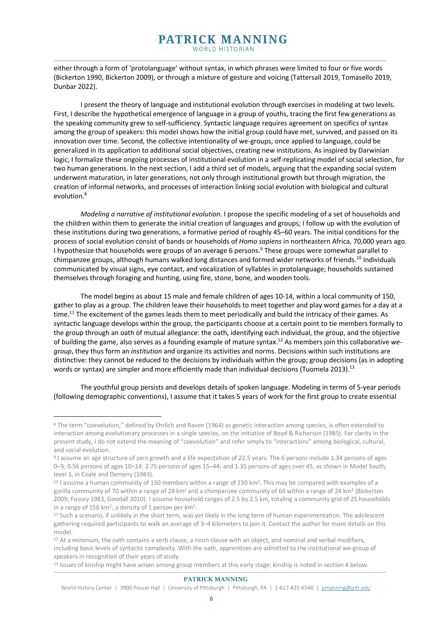either through a form of 'protolanguage' without syntax, in which phrases were limited to four or five words (Bickerton 1990, Bickerton 2009), or through a mixture of gesture and voicing (Tattersall 2019, Tomasello 2019, Dunbar 2022).

I present the theory of language and institutional evolution through exercises in modeling at two levels. First, I describe the hypothetical emergence of language in a group of youths, tracing the first few generations as the speaking community grew to self-sufficiency. Syntactic language requires agreement on specifics of syntax among the group of speakers: this model shows how the initial group could have met, survived, and passed on its innovation over time. Second, the collective intentionality of we-groups, once applied to language, could be generalized in its application to additional social objectives, creating new institutions. As inspired by Darwinian logic, I formalize these ongoing processes of institutional evolution in a self-replicating model of social selection, for two human generations. In the next section, I add a third set of models, arguing that the expanding social system underwent maturation, in later generations, not only through institutional growth but through migration, the creation of informal networks, and processes of interaction linking social evolution with biological and cultural evolution.8

*Modeling a narrative of institutional evolution.* I propose the specific modeling of a set of households and the children within them to generate the initial creation of languages and groups; I follow up with the evolution of these institutions during two generations, a formative period of roughly 45–60 years. The initial conditions for the process of social evolution consist of bands or households of *Homo sapiens* in northeastern Africa, 70,000 years ago. I hypothesize that households were groups of an average 6 persons.<sup>9</sup> These groups were somewhat parallel to chimpanzee groups, although humans walked long distances and formed wider networks of friends.10 Individuals communicated by visual signs, eye contact, and vocalization of syllables in protolanguage; households sustained themselves through foraging and hunting, using fire, stone, bone, and wooden tools.

The model begins as about 15 male and female children of ages 10-14, within a local community of 150, gather to play as a group. The children leave their households to meet together and play word games for a day at a time.<sup>11</sup> The excitement of the games leads them to meet periodically and build the intricacy of their games. As syntactic language develops within the group, the participants choose at a certain point to tie members formally to the group through an oath of mutual allegiance: the oath, identifying each individual, the group, and the objective of building the game, also serves as a founding example of mature syntax. <sup>12</sup> As members join this collaborative *wegroup*, they thus form an *institution* and organize its activities and norms. Decisions within such institutions are distinctive: they cannot be reduced to the decisions by individuals within the group; group decisions (as in adopting words or syntax) are simpler and more efficiently made than individual decisions (Tuomela 2013).<sup>13</sup>

The youthful group persists and develops details of spoken language. Modeling in terms of 5-year periods (following demographic conventions), I assume that it takes 5 years of work for the first group to create essential

#### **PATRICK MANNING**

World History Center | 3900 Posvar Hall | University of Pittsburgh | Pittsburgh, PA | 1-617-435-6540 | pmanning@pitt.edu

<sup>8</sup> The term "coevolution," defined by Ehrlich and Raven (1964) as genetic interaction among species, is often extended to interaction among evolutionary processes in a single species, on the initiative of Boyd & Richerson (1985). For clarity in the present study, I do not extend the meaning of "coevolution" and refer simply to "interactions" among biological, cultural, and social evolution.

<sup>9</sup> I assume an age structure of zero growth and a life expectation of 22.5 years. The 6 persons include 1.34 persons of ages 0–9; 0.56 persons of ages 10–14; 2.75 persons of ages 15–44; and 1.35 persons of ages over 45, as shown in Model South, level 3, in Coale and Demeny (1983).

<sup>&</sup>lt;sup>10</sup> I assume a human community of 150 members within a range of 150 km<sup>2</sup>. This may be compared with examples of a gorilla community of 70 within a range of 28 km<sup>2</sup> and a chimpanzee community of 60 within a range of 24 km<sup>2</sup> (Bickerton 2009; Fossey 1983, Goodall 2010). I assume household ranges of 2.5 by 2.5 km, totaling a community grid of 25 households in a range of 156 km<sup>2</sup>; a density of 1 person per km<sup>2</sup>.

<sup>&</sup>lt;sup>11</sup> Such a scenario, if unlikely in the short term, was yet likely in the long term of human experimentation. The adolescent gathering required participants to walk an average of 3–4 kilometers to join it. Contact the author for more details on this model.

<sup>&</sup>lt;sup>12</sup> At a minimum, the oath contains a verb clause, a noun clause with an object, and nominal and verbal modifiers, including basic levels of syntactic complexity. With the oath, apprentices are admitted to the institutional we-group of speakers in recognition of their years of study.

<sup>13</sup> Issues of kinship might have arisen among group members at this early stage; kinship is noted in section 4 below.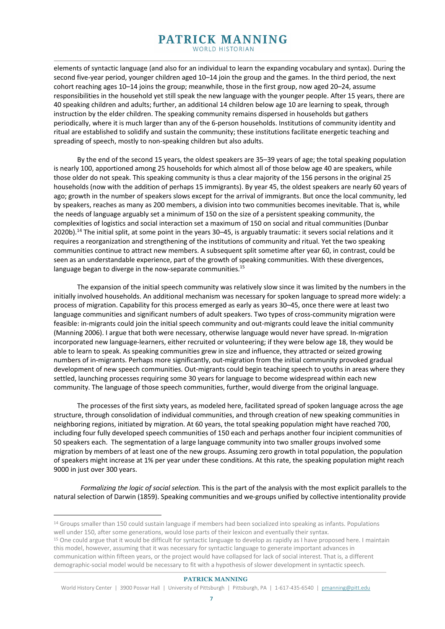elements of syntactic language (and also for an individual to learn the expanding vocabulary and syntax). During the second five-year period, younger children aged 10–14 join the group and the games. In the third period, the next cohort reaching ages 10–14 joins the group; meanwhile, those in the first group, now aged 20–24, assume responsibilities in the household yet still speak the new language with the younger people. After 15 years, there are 40 speaking children and adults; further, an additional 14 children below age 10 are learning to speak, through instruction by the elder children. The speaking community remains dispersed in households but gathers periodically, where it is much larger than any of the 6-person households. Institutions of community identity and ritual are established to solidify and sustain the community; these institutions facilitate energetic teaching and spreading of speech, mostly to non-speaking children but also adults.

By the end of the second 15 years, the oldest speakers are 35–39 years of age; the total speaking population is nearly 100, apportioned among 25 households for which almost all of those below age 40 are speakers, while those older do not speak. This speaking community is thus a clear majority of the 156 persons in the original 25 households (now with the addition of perhaps 15 immigrants). By year 45, the oldest speakers are nearly 60 years of ago; growth in the number of speakers slows except for the arrival of immigrants. But once the local community, led by speakers, reaches as many as 200 members, a division into two communities becomes inevitable. That is, while the needs of language arguably set a minimum of 150 on the size of a persistent speaking community, the complexities of logistics and social interaction set a maximum of 150 on social and ritual communities (Dunbar 2020b).14 The initial split, at some point in the years 30–45, is arguably traumatic: it severs social relations and it requires a reorganization and strengthening of the institutions of community and ritual. Yet the two speaking communities continue to attract new members. A subsequent split sometime after year 60, in contrast, could be seen as an understandable experience, part of the growth of speaking communities. With these divergences, language began to diverge in the now-separate communities.<sup>15</sup>

The expansion of the initial speech community was relatively slow since it was limited by the numbers in the initially involved households. An additional mechanism was necessary for spoken language to spread more widely: a process of migration. Capability for this process emerged as early as years 30–45, once there were at least two language communities and significant numbers of adult speakers. Two types of cross-community migration were feasible: in-migrants could join the initial speech community and out-migrants could leave the initial community (Manning 2006). I argue that both were necessary, otherwise language would never have spread. In-migration incorporated new language-learners, either recruited or volunteering; if they were below age 18, they would be able to learn to speak. As speaking communities grew in size and influence, they attracted or seized growing numbers of in-migrants. Perhaps more significantly, out-migration from the initial community provoked gradual development of new speech communities. Out-migrants could begin teaching speech to youths in areas where they settled, launching processes requiring some 30 years for language to become widespread within each new community. The language of those speech communities, further, would diverge from the original language.

The processes of the first sixty years, as modeled here, facilitated spread of spoken language across the age structure, through consolidation of individual communities, and through creation of new speaking communities in neighboring regions, initiated by migration. At 60 years, the total speaking population might have reached 700, including four fully developed speech communities of 150 each and perhaps another four incipient communities of 50 speakers each. The segmentation of a large language community into two smaller groups involved some migration by members of at least one of the new groups. Assuming zero growth in total population, the population of speakers might increase at 1% per year under these conditions. At this rate, the speaking population might reach 9000 in just over 300 years.

*Formalizing the logic of social selection.* This is the part of the analysis with the most explicit parallels to the natural selection of Darwin (1859). Speaking communities and we-groups unified by collective intentionality provide

<sup>&</sup>lt;sup>14</sup> Groups smaller than 150 could sustain language if members had been socialized into speaking as infants. Populations well under 150, after some generations, would lose parts of their lexicon and eventually their syntax.

<sup>15</sup> One could argue that it would be difficult for syntactic language to develop as rapidly as I have proposed here. I maintain this model, however, assuming that it was necessary for syntactic language to generate important advances in communication within fifteen years, or the project would have collapsed for lack of social interest. That is, a different demographic-social model would be necessary to fit with a hypothesis of slower development in syntactic speech.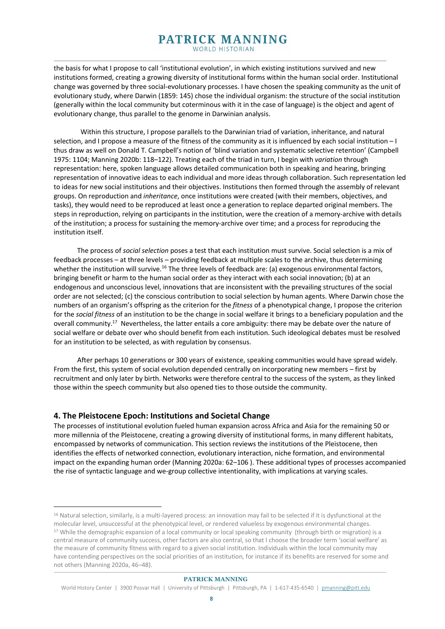the basis for what I propose to call 'institutional evolution', in which existing institutions survived and new institutions formed, creating a growing diversity of institutional forms within the human social order. Institutional change was governed by three social-evolutionary processes. I have chosen the speaking community as the unit of evolutionary study, where Darwin (1859: 145) chose the individual organism: the structure of the social institution (generally within the local community but coterminous with it in the case of language) is the object and agent of evolutionary change, thus parallel to the genome in Darwinian analysis.

Within this structure, I propose parallels to the Darwinian triad of variation, inheritance, and natural selection, and I propose a measure of the fitness of the community as it is influenced by each social institution – I thus draw as well on Donald T. Campbell's notion of 'blind variation and systematic selective retention' (Campbell 1975: 1104; Manning 2020b: 118–122). Treating each of the triad in turn, I begin with *variation* through representation: here, spoken language allows detailed communication both in speaking and hearing, bringing representation of innovative ideas to each individual and more ideas through collaboration. Such representation led to ideas for new social institutions and their objectives. Institutions then formed through the assembly of relevant groups. On reproduction and *inheritance*, once institutions were created (with their members, objectives, and tasks), they would need to be reproduced at least once a generation to replace departed original members. The steps in reproduction, relying on participants in the institution, were the creation of a memory-archive with details of the institution; a process for sustaining the memory-archive over time; and a process for reproducing the institution itself.

The process of *social selection* poses a test that each institution must survive. Social selection is a mix of feedback processes – at three levels – providing feedback at multiple scales to the archive, thus determining whether the institution will survive.<sup>16</sup> The three levels of feedback are: (a) exogenous environmental factors, bringing benefit or harm to the human social order as they interact with each social innovation; (b) at an endogenous and unconscious level, innovations that are inconsistent with the prevailing structures of the social order are not selected; (c) the conscious contribution to social selection by human agents. Where Darwin chose the numbers of an organism's offspring as the criterion for the *fitness* of a phenotypical change, I propose the criterion for the *social fitness* of an institution to be the change in social welfare it brings to a beneficiary population and the overall community.17 Nevertheless, the latter entails a core ambiguity: there may be debate over the nature of social welfare or debate over who should benefit from each institution. Such ideological debates must be resolved for an institution to be selected, as with regulation by consensus.

After perhaps 10 generations or 300 years of existence, speaking communities would have spread widely. From the first, this system of social evolution depended centrally on incorporating new members – first by recruitment and only later by birth. Networks were therefore central to the success of the system, as they linked those within the speech community but also opened ties to those outside the community.

## **4. The Pleistocene Epoch: Institutions and Societal Change**

The processes of institutional evolution fueled human expansion across Africa and Asia for the remaining 50 or more millennia of the Pleistocene, creating a growing diversity of institutional forms, in many different habitats, encompassed by networks of communication. This section reviews the institutions of the Pleistocene, then identifies the effects of networked connection, evolutionary interaction, niche formation, and environmental impact on the expanding human order (Manning 2020a: 62–106 ). These additional types of processes accompanied the rise of syntactic language and we-group collective intentionality, with implications at varying scales.

<sup>&</sup>lt;sup>16</sup> Natural selection, similarly, is a multi-layered process: an innovation may fail to be selected if it is dysfunctional at the molecular level, unsuccessful at the phenotypical level, or rendered valueless by exogenous environmental changes. <sup>17</sup> While the demographic expansion of a local community or local speaking community (through birth or migration) is a central measure of community success, other factors are also central, so that I choose the broader term 'social welfare' as the measure of community fitness with regard to a given social institution. Individuals within the local community may have contending perspectives on the social priorities of an institution, for instance if its benefits are reserved for some and not others (Manning 2020a, 46–48).

World History Center | 3900 Posvar Hall | University of Pittsburgh | Pittsburgh, PA | 1-617-435-6540 | pmanning@pitt.edu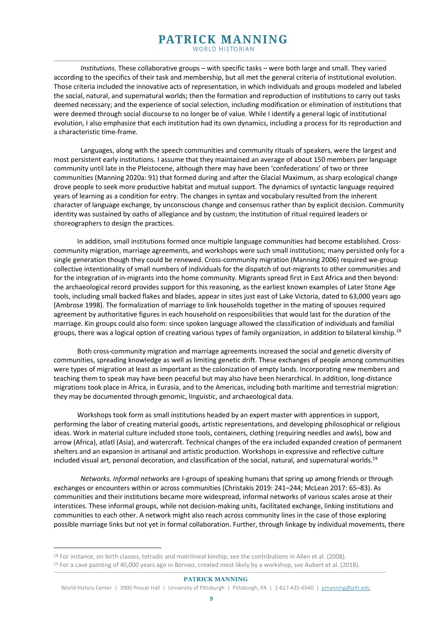*Institutions.* These collaborative groups – with specific tasks – were both large and small. They varied according to the specifics of their task and membership, but all met the general criteria of institutional evolution. Those criteria included the innovative acts of representation, in which individuals and groups modeled and labeled the social, natural, and supernatural worlds; then the formation and reproduction of institutions to carry out tasks deemed necessary; and the experience of social selection, including modification or elimination of institutions that were deemed through social discourse to no longer be of value. While I identify a general logic of institutional evolution, I also emphasize that each institution had its own dynamics, including a process for its reproduction and a characteristic time-frame.

Languages, along with the speech communities and community rituals of speakers, were the largest and most persistent early institutions. I assume that they maintained an average of about 150 members per language community until late in the Pleistocene, although there may have been 'confederations' of two or three communities (Manning 2020a: 91) that formed during and after the Glacial Maximum, as sharp ecological change drove people to seek more productive habitat and mutual support. The dynamics of syntactic language required years of learning as a condition for entry. The changes in syntax and vocabulary resulted from the inherent character of language exchange, by unconscious change and consensus rather than by explicit decision. Community identity was sustained by oaths of allegiance and by custom; the institution of ritual required leaders or choreographers to design the practices.

In addition, small institutions formed once multiple language communities had become established. Crosscommunity migration, marriage agreements, and workshops were such small institutions; many persisted only for a single generation though they could be renewed. Cross-community migration (Manning 2006) required we-group collective intentionality of small numbers of individuals for the dispatch of out-migrants to other communities and for the integration of in-migrants into the home community. Migrants spread first in East Africa and then beyond: the archaeological record provides support for this reasoning, as the earliest known examples of Later Stone Age tools, including small backed flakes and blades, appear in sites just east of Lake Victoria, dated to 63,000 years ago (Ambrose 1998). The formalization of marriage to link households together in the mating of spouses required agreement by authoritative figures in each household on responsibilities that would last for the duration of the marriage. Kin groups could also form: since spoken language allowed the classification of individuals and familial groups, there was a logical option of creating various types of family organization, in addition to bilateral kinship.<sup>18</sup>

Both cross-community migration and marriage agreements increased the social and genetic diversity of communities, spreading knowledge as well as limiting genetic drift. These exchanges of people among communities were types of migration at least as important as the colonization of empty lands. Incorporating new members and teaching them to speak may have been peaceful but may also have been hierarchical. In addition, long-distance migrations took place in Africa, in Eurasia, and to the Americas, including both maritime and terrestrial migration: they may be documented through genomic, linguistic, and archaeological data.

Workshops took form as small institutions headed by an expert master with apprentices in support, performing the labor of creating material goods, artistic representations, and developing philosophical or religious ideas. Work in material culture included stone tools, containers, clothing (requiring needles and awls), bow and arrow (Africa), atlatl (Asia), and watercraft. Technical changes of the era included expanded creation of permanent shelters and an expansion in artisanal and artistic production. Workshops in expressive and reflective culture included visual art, personal decoration, and classification of the social, natural, and supernatural worlds.19

*Networks. Informal networks* are I-groups of speaking humans that spring up among friends or through exchanges or encounters within or across communities (Christakis 2019: 241–244; McLean 2017: 65–83). As communities and their institutions became more widespread, informal networks of various scales arose at their interstices. These informal groups, while not decision-making units, facilitated exchange, linking institutions and communities to each other. A network might also reach across community lines in the case of those exploring possible marriage links but not yet in formal collaboration. Further, through linkage by individual movements, there

<sup>18</sup> For instance, on birth classes, tetradic and matrilineal kinship, see the contributions in Allen et al. (2008).

<sup>&</sup>lt;sup>19</sup> For a cave painting of 40,000 years ago in Borneo, created most likely by a workshop, see Aubert et al. (2018).

World History Center | 3900 Posvar Hall | University of Pittsburgh | Pittsburgh, PA | 1-617-435-6540 | pmanning@pitt.edu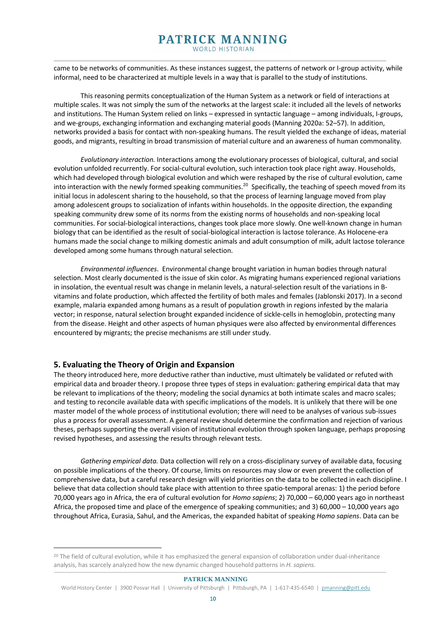came to be networks of communities. As these instances suggest, the patterns of network or I-group activity, while informal, need to be characterized at multiple levels in a way that is parallel to the study of institutions.

This reasoning permits conceptualization of the Human System as a network or field of interactions at multiple scales. It was not simply the sum of the networks at the largest scale: it included all the levels of networks and institutions. The Human System relied on links – expressed in syntactic language – among individuals, I-groups, and we-groups, exchanging information and exchanging material goods (Manning 2020a: 52–57). In addition, networks provided a basis for contact with non-speaking humans. The result yielded the exchange of ideas, material goods, and migrants, resulting in broad transmission of material culture and an awareness of human commonality.

*Evolutionary interaction.* Interactions among the evolutionary processes of biological, cultural, and social evolution unfolded recurrently. For social-cultural evolution, such interaction took place right away. Households, which had developed through biological evolution and which were reshaped by the rise of cultural evolution, came into interaction with the newly formed speaking communities.<sup>20</sup> Specifically, the teaching of speech moved from its initial locus in adolescent sharing to the household, so that the process of learning language moved from play among adolescent groups to socialization of infants within households. In the opposite direction, the expanding speaking community drew some of its norms from the existing norms of households and non-speaking local communities. For social-biological interactions, changes took place more slowly. One well-known change in human biology that can be identified as the result of social-biological interaction is lactose tolerance. As Holocene-era humans made the social change to milking domestic animals and adult consumption of milk, adult lactose tolerance developed among some humans through natural selection.

*Environmental influences*. Environmental change brought variation in human bodies through natural selection. Most clearly documented is the issue of skin color. As migrating humans experienced regional variations in insolation, the eventual result was change in melanin levels, a natural-selection result of the variations in Bvitamins and folate production, which affected the fertility of both males and females (Jablonski 2017). In a second example, malaria expanded among humans as a result of population growth in regions infested by the malaria vector; in response, natural selection brought expanded incidence of sickle-cells in hemoglobin, protecting many from the disease. Height and other aspects of human physiques were also affected by environmental differences encountered by migrants; the precise mechanisms are still under study.

## **5. Evaluating the Theory of Origin and Expansion**

The theory introduced here, more deductive rather than inductive, must ultimately be validated or refuted with empirical data and broader theory. I propose three types of steps in evaluation: gathering empirical data that may be relevant to implications of the theory; modeling the social dynamics at both intimate scales and macro scales; and testing to reconcile available data with specific implications of the models. It is unlikely that there will be one master model of the whole process of institutional evolution; there will need to be analyses of various sub-issues plus a process for overall assessment. A general review should determine the confirmation and rejection of various theses, perhaps supporting the overall vision of institutional evolution through spoken language, perhaps proposing revised hypotheses, and assessing the results through relevant tests.

*Gathering empirical data.* Data collection will rely on a cross-disciplinary survey of available data, focusing on possible implications of the theory. Of course, limits on resources may slow or even prevent the collection of comprehensive data, but a careful research design will yield priorities on the data to be collected in each discipline. I believe that data collection should take place with attention to three spatio-temporal arenas: 1) the period before 70,000 years ago in Africa, the era of cultural evolution for *Homo sapiens*; 2) 70,000 – 60,000 years ago in northeast Africa, the proposed time and place of the emergence of speaking communities; and 3) 60,000 – 10,000 years ago throughout Africa, Eurasia, Sahul, and the Americas, the expanded habitat of speaking *Homo sapiens*. Data can be

<sup>&</sup>lt;sup>20</sup> The field of cultural evolution, while it has emphasized the general expansion of collaboration under dual-inheritance analysis, has scarcely analyzed how the new dynamic changed household patterns in *H. sapiens.*

World History Center | 3900 Posvar Hall | University of Pittsburgh | Pittsburgh, PA | 1-617-435-6540 | pmanning@pitt.edu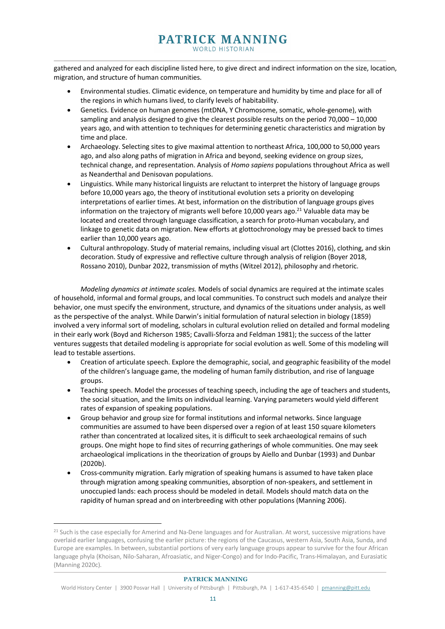gathered and analyzed for each discipline listed here, to give direct and indirect information on the size, location, migration, and structure of human communities.

- Environmental studies. Climatic evidence, on temperature and humidity by time and place for all of the regions in which humans lived, to clarify levels of habitability.
- Genetics. Evidence on human genomes (mtDNA, Y Chromosome, somatic, whole-genome), with sampling and analysis designed to give the clearest possible results on the period 70,000 – 10,000 years ago, and with attention to techniques for determining genetic characteristics and migration by time and place.
- Archaeology. Selecting sites to give maximal attention to northeast Africa, 100,000 to 50,000 years ago, and also along paths of migration in Africa and beyond, seeking evidence on group sizes, technical change, and representation. Analysis of *Homo sapiens* populations throughout Africa as well as Neanderthal and Denisovan populations.
- Linguistics. While many historical linguists are reluctant to interpret the history of language groups before 10,000 years ago, the theory of institutional evolution sets a priority on developing interpretations of earlier times. At best, information on the distribution of language groups gives information on the trajectory of migrants well before 10,000 years ago. $^{21}$  Valuable data may be located and created through language classification, a search for proto-Human vocabulary, and linkage to genetic data on migration. New efforts at glottochronology may be pressed back to times earlier than 10,000 years ago.
- Cultural anthropology. Study of material remains, including visual art (Clottes 2016), clothing, and skin decoration. Study of expressive and reflective culture through analysis of religion (Boyer 2018, Rossano 2010), Dunbar 2022, transmission of myths (Witzel 2012), philosophy and rhetoric.

*Modeling dynamics at intimate scales.* Models of social dynamics are required at the intimate scales of household, informal and formal groups, and local communities. To construct such models and analyze their behavior, one must specify the environment, structure, and dynamics of the situations under analysis, as well as the perspective of the analyst. While Darwin's initial formulation of natural selection in biology (1859) involved a very informal sort of modeling, scholars in cultural evolution relied on detailed and formal modeling in their early work (Boyd and Richerson 1985; Cavalli-Sforza and Feldman 1981); the success of the latter ventures suggests that detailed modeling is appropriate for social evolution as well. Some of this modeling will lead to testable assertions.

- Creation of articulate speech. Explore the demographic, social, and geographic feasibility of the model of the children's language game, the modeling of human family distribution, and rise of language groups.
- Teaching speech. Model the processes of teaching speech, including the age of teachers and students, the social situation, and the limits on individual learning. Varying parameters would yield different rates of expansion of speaking populations.
- Group behavior and group size for formal institutions and informal networks. Since language communities are assumed to have been dispersed over a region of at least 150 square kilometers rather than concentrated at localized sites, it is difficult to seek archaeological remains of such groups. One might hope to find sites of recurring gatherings of whole communities. One may seek archaeological implications in the theorization of groups by Aiello and Dunbar (1993) and Dunbar (2020b).
- Cross-community migration. Early migration of speaking humans is assumed to have taken place through migration among speaking communities, absorption of non-speakers, and settlement in unoccupied lands: each process should be modeled in detail. Models should match data on the rapidity of human spread and on interbreeding with other populations (Manning 2006).

<sup>&</sup>lt;sup>21</sup> Such is the case especially for Amerind and Na-Dene languages and for Australian. At worst, successive migrations have overlaid earlier languages, confusing the earlier picture: the regions of the Caucasus, western Asia, South Asia, Sunda, and Europe are examples. In between, substantial portions of very early language groups appear to survive for the four African language phyla (Khoisan, Nilo-Saharan, Afroasiatic, and Niger-Congo) and for Indo-Pacific, Trans-Himalayan, and Eurasiatic (Manning 2020c).

World History Center | 3900 Posvar Hall | University of Pittsburgh | Pittsburgh, PA | 1-617-435-6540 | pmanning@pitt.edu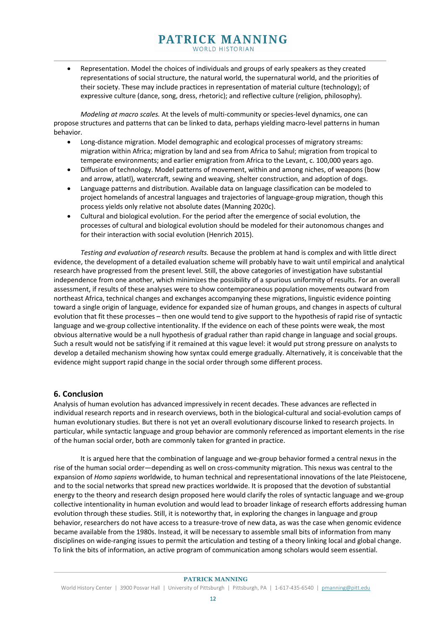• Representation. Model the choices of individuals and groups of early speakers as they created representations of social structure, the natural world, the supernatural world, and the priorities of their society. These may include practices in representation of material culture (technology); of expressive culture (dance, song, dress, rhetoric); and reflective culture (religion, philosophy).

*Modeling at macro scales.* At the levels of multi-community or species-level dynamics, one can propose structures and patterns that can be linked to data, perhaps yielding macro-level patterns in human behavior.

- Long-distance migration. Model demographic and ecological processes of migratory streams: migration within Africa; migration by land and sea from Africa to Sahul; migration from tropical to temperate environments; and earlier emigration from Africa to the Levant, c. 100,000 years ago.
- Diffusion of technology. Model patterns of movement, within and among niches, of weapons (bow and arrow, atlatl), watercraft, sewing and weaving, shelter construction, and adoption of dogs.
- Language patterns and distribution. Available data on language classification can be modeled to project homelands of ancestral languages and trajectories of language-group migration, though this process yields only relative not absolute dates (Manning 2020c).
- Cultural and biological evolution. For the period after the emergence of social evolution, the processes of cultural and biological evolution should be modeled for their autonomous changes and for their interaction with social evolution (Henrich 2015).

*Testing and evaluation of research results.* Because the problem at hand is complex and with little direct evidence, the development of a detailed evaluation scheme will probably have to wait until empirical and analytical research have progressed from the present level. Still, the above categories of investigation have substantial independence from one another, which minimizes the possibility of a spurious uniformity of results. For an overall assessment, if results of these analyses were to show contemporaneous population movements outward from northeast Africa, technical changes and exchanges accompanying these migrations, linguistic evidence pointing toward a single origin of language, evidence for expanded size of human groups, and changes in aspects of cultural evolution that fit these processes – then one would tend to give support to the hypothesis of rapid rise of syntactic language and we-group collective intentionality. If the evidence on each of these points were weak, the most obvious alternative would be a null hypothesis of gradual rather than rapid change in language and social groups. Such a result would not be satisfying if it remained at this vague level: it would put strong pressure on analysts to develop a detailed mechanism showing how syntax could emerge gradually. Alternatively, it is conceivable that the evidence might support rapid change in the social order through some different process.

## **6. Conclusion**

Analysis of human evolution has advanced impressively in recent decades. These advances are reflected in individual research reports and in research overviews, both in the biological-cultural and social-evolution camps of human evolutionary studies. But there is not yet an overall evolutionary discourse linked to research projects. In particular, while syntactic language and group behavior are commonly referenced as important elements in the rise of the human social order, both are commonly taken for granted in practice.

It is argued here that the combination of language and we-group behavior formed a central nexus in the rise of the human social order—depending as well on cross-community migration. This nexus was central to the expansion of *Homo sapiens* worldwide, to human technical and representational innovations of the late Pleistocene, and to the social networks that spread new practices worldwide. It is proposed that the devotion of substantial energy to the theory and research design proposed here would clarify the roles of syntactic language and we-group collective intentionality in human evolution and would lead to broader linkage of research efforts addressing human evolution through these studies. Still, it is noteworthy that, in exploring the changes in language and group behavior, researchers do not have access to a treasure-trove of new data, as was the case when genomic evidence became available from the 1980s. Instead, it will be necessary to assemble small bits of information from many disciplines on wide-ranging issues to permit the articulation and testing of a theory linking local and global change. To link the bits of information, an active program of communication among scholars would seem essential.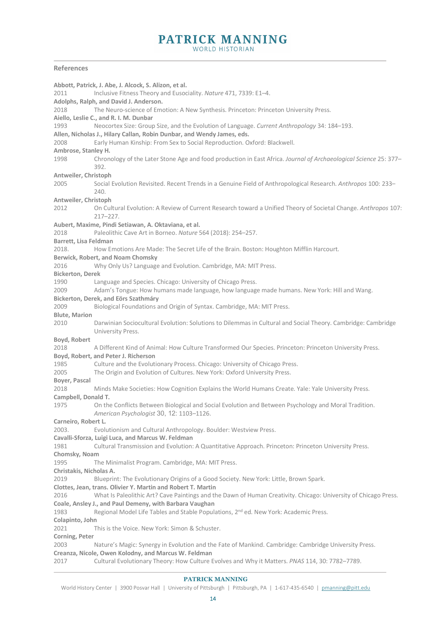**WORLD HISTORIAN** 

#### **References**

**Abbott, Patrick, J. Abe, J. Alcock, S. Alizon, et al.**  2011 Inclusive Fitness Theory and Eusociality. *Nature* 471, 7339: E1–4. **Adolphs, Ralph, and David J. Anderson.**  2018 The Neuro-science of Emotion: A New Synthesis. Princeton: Princeton University Press. **Aiello, Leslie C., and R. I. M. Dunbar**  1993 Neocortex Size: Group Size, and the Evolution of Language. *Current Anthropology* 34: 184–193. **Allen, Nicholas J., Hilary Callan, Robin Dunbar, and Wendy James, eds.**  2008 Early Human Kinship: From Sex to Social Reproduction. Oxford: Blackwell. **Ambrose, Stanley H.** 1998 Chronology of the Later Stone Age and food production in East Africa. *Journal of Archaeological Science* 25: 377– 392. **Antweiler, Christoph** 2005 Social Evolution Revisited. Recent Trends in a Genuine Field of Anthropological Research. *Anthropos* 100: 233– 240. **Antweiler, Christoph** 2012 On Cultural Evolution: A Review of Current Research toward a Unified Theory of Societal Change. *Anthropos* 107: 217–227. **Aubert, Maxime, Pindi Setiawan, A. Oktaviana, et al.**  2018 Paleolithic Cave Art in Borneo. *Nature* 564 (2018): 254–257. **Barrett, Lisa Feldman** 2018. How Emotions Are Made: The Secret Life of the Brain. Boston: Houghton Mifflin Harcourt. **Berwick, Robert, and Noam Chomsky** 2016 Why Only Us? Language and Evolution. Cambridge, MA: MIT Press. **Bickerton, Derek** 1990 Language and Species. Chicago: University of Chicago Press. 2009 Adam's Tongue: How humans made language, how language made humans. New York: Hill and Wang. **Bickerton, Derek, and Eörs Szathmáry** 2009 Biological Foundations and Origin of Syntax. Cambridge, MA: MIT Press. **Blute, Marion**  2010 Darwinian Sociocultural Evolution: Solutions to Dilemmas in Cultural and Social Theory. Cambridge: Cambridge University Press. **Boyd, Robert** 2018 A Different Kind of Animal: How Culture Transformed Our Species. Princeton: Princeton University Press. **Boyd, Robert, and Peter J. Richerson** 1985 Culture and the Evolutionary Process. Chicago: University of Chicago Press. 2005 The Origin and Evolution of Cultures. New York: Oxford University Press. **Boyer, Pascal** 2018 Minds Make Societies: How Cognition Explains the World Humans Create. Yale: Yale University Press. **Campbell, Donald T.**  1975 On the Conflicts Between Biological and Social Evolution and Between Psychology and Moral Tradition. *American Psychologist* 30, 12: 1103–1126. **Carneiro, Robert L.**  2003. Evolutionism and Cultural Anthropology. Boulder: Westview Press. **Cavalli-Sforza, Luigi Luca, and Marcus W. Feldman**  1981 Cultural Transmission and Evolution: A Quantitative Approach. Princeton: Princeton University Press. **Chomsky, Noam**  1995 The Minimalist Program. Cambridge, MA: MIT Press. **Christakis, Nicholas A.**  2019 Blueprint: The Evolutionary Origins of a Good Society. New York: Little, Brown Spark. **Clottes, Jean, trans. Olivier Y. Martin and Robert T. Martin**  2016 What Is Paleolithic Art? Cave Paintings and the Dawn of Human Creativity. Chicago: University of Chicago Press. **Coale, Ansley J., and Paul Demeny, with Barbara Vaughan**  1983 Regional Model Life Tables and Stable Populations, 2nd ed. New York: Academic Press. **Colapinto, John** 2021 This is the Voice. New York: Simon & Schuster. **Corning, Peter**  2003 Nature's Magic: Synergy in Evolution and the Fate of Mankind. Cambridge: Cambridge University Press. **Creanza, Nicole, Owen Kolodny, and Marcus W. Feldman**  2017 Cultural Evolutionary Theory: How Culture Evolves and Why it Matters. *PNAS* 114, 30: 7782–7789.

#### **PATRICK MANNING**

World History Center | 3900 Posvar Hall | University of Pittsburgh | Pittsburgh, PA | 1-617-435-6540 | pmanning@pitt.edu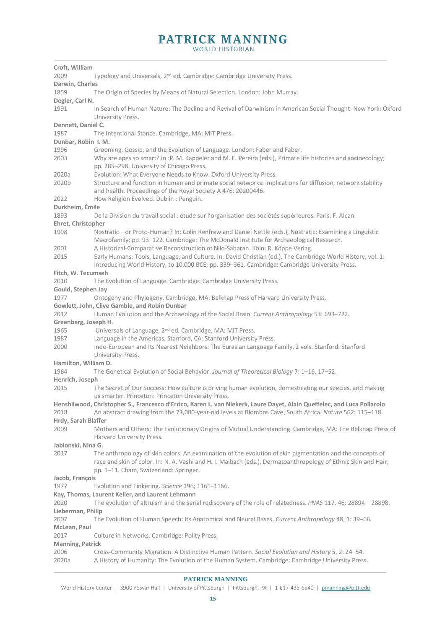| Croft, William                                        |                                                                                                                                                                             |  |
|-------------------------------------------------------|-----------------------------------------------------------------------------------------------------------------------------------------------------------------------------|--|
| 2009                                                  | Typology and Universals, 2 <sup>nd</sup> ed. Cambridge: Cambridge University Press.                                                                                         |  |
| Darwin, Charles                                       |                                                                                                                                                                             |  |
| 1859                                                  | The Origin of Species by Means of Natural Selection. London: John Murray.                                                                                                   |  |
| Degler, Carl N.                                       |                                                                                                                                                                             |  |
| 1991                                                  | In Search of Human Nature: The Decline and Revival of Darwinism in American Social Thought. New York: Oxford                                                                |  |
|                                                       | University Press.                                                                                                                                                           |  |
| Dennett, Daniel C.                                    |                                                                                                                                                                             |  |
| 1987                                                  | The Intentional Stance. Cambridge, MA: MIT Press.                                                                                                                           |  |
| Dunbar, Robin I. M.                                   |                                                                                                                                                                             |  |
| 1996                                                  | Grooming, Gossip, and the Evolution of Language. London: Faber and Faber.                                                                                                   |  |
| 2003                                                  | Why are apes so smart? In :P. M. Kappeler and M. E. Pereira (eds.), Primate life histories and socioecology;<br>pp. 285-298. University of Chicago Press.                   |  |
| 2020a                                                 | Evolution: What Everyone Needs to Know. Oxford University Press.                                                                                                            |  |
| 2020b                                                 | Structure and function in human and primate social networks: implications for diffusion, network stability<br>and health. Proceedings of the Royal Society A 476: 20200446. |  |
| 2022                                                  | How Religion Evolved. Dublin : Penguin.                                                                                                                                     |  |
| Durkheim, Émile                                       |                                                                                                                                                                             |  |
| 1893                                                  | De la Division du travail social : étude sur l'organisation des sociétés supérieures. Paris: F. Alcan.                                                                      |  |
| Ehret, Christopher                                    |                                                                                                                                                                             |  |
| 1998                                                  | Nostratic-or Proto-Human? In: Colin Renfrew and Daniel Nettle (eds.), Nostratic: Examining a Linguistic                                                                     |  |
|                                                       | Macrofamily; pp. 93-122. Cambridge: The McDonald Institute for Archaeological Research.                                                                                     |  |
| 2001                                                  | A Historical-Comparative Reconstruction of Nilo-Saharan. Köln: R. Köppe Verlag.                                                                                             |  |
| 2015                                                  | Early Humans: Tools, Language, and Culture. In: David Christian (ed.), The Cambridge World History, vol. 1:                                                                 |  |
|                                                       | Introducing World History, to 10,000 BCE; pp. 339-361. Cambridge: Cambridge University Press.                                                                               |  |
| Fitch, W. Tecumseh                                    |                                                                                                                                                                             |  |
| 2010                                                  | The Evolution of Language. Cambridge: Cambridge University Press.                                                                                                           |  |
| Gould, Stephen Jay                                    |                                                                                                                                                                             |  |
| 1977                                                  | Ontogeny and Phylogeny. Cambridge, MA: Belknap Press of Harvard University Press.                                                                                           |  |
|                                                       | Gowlett, John, Clive Gamble, and Robin Dunbar                                                                                                                               |  |
| 2012                                                  | Human Evolution and the Archaeology of the Social Brain. Current Anthropology 53: 693-722.                                                                                  |  |
| Greenberg, Joseph H.                                  |                                                                                                                                                                             |  |
| 1965                                                  | Universals of Language, 2 <sup>nd</sup> ed. Cambridge, MA: MIT Press.                                                                                                       |  |
| 1987                                                  | Language in the Americas. Stanford, CA: Stanford University Press.                                                                                                          |  |
| 2000                                                  | Indo-European and Its Nearest Neighbors: The Eurasian Language Family, 2 vols. Stanford: Stanford<br>University Press.                                                      |  |
| Hamilton, William D.                                  |                                                                                                                                                                             |  |
| 1964                                                  | The Genetical Evolution of Social Behavior. Journal of Theoretical Biology 7: 1-16, 17-52.                                                                                  |  |
| Henrich, Joseph                                       |                                                                                                                                                                             |  |
| 2015                                                  | The Secret of Our Success: How culture is driving human evolution, domesticating our species, and making<br>us smarter. Princeton: Princeton University Press.              |  |
|                                                       | Henshilwood, Christopher S., Francesco d'Errico, Karen L. van Niekerk, Laure Dayet, Alain Queffelec, and Luca Pollarolo                                                     |  |
| 2018                                                  | An abstract drawing from the 73,000-year-old levels at Blombos Cave, South Africa. Nature 562: 115-118.                                                                     |  |
| Hrdy, Sarah Blaffer                                   |                                                                                                                                                                             |  |
| 2009                                                  | Mothers and Others: The Evolutionary Origins of Mutual Understanding. Cambridge, MA: The Belknap Press of                                                                   |  |
|                                                       | Harvard University Press.                                                                                                                                                   |  |
| Jablonski, Nina G.                                    |                                                                                                                                                                             |  |
| 2017                                                  | The anthropology of skin colors: An examination of the evolution of skin pigmentation and the concepts of                                                                   |  |
|                                                       | race and skin of color. In: N. A. Vashi and H. I. Maibach (eds.), Dermatoanthropology of Ethnic Skin and Hair;<br>pp. 1-11. Cham, Switzerland: Springer.                    |  |
| Jacob, François                                       |                                                                                                                                                                             |  |
| 1977                                                  | Evolution and Tinkering. Science 196; 1161-1166.                                                                                                                            |  |
|                                                       | Kay, Thomas, Laurent Keller, and Laurent Lehmann                                                                                                                            |  |
| 2020                                                  | The evolution of altruism and the serial rediscovery of the role of relatedness. PNAS 117, 46: 28894 - 28898.                                                               |  |
| Lieberman, Philip                                     |                                                                                                                                                                             |  |
| 2007                                                  | The Evolution of Human Speech: Its Anatomical and Neural Bases. Current Anthropology 48, 1: 39-66.                                                                          |  |
| McLean, Paul                                          |                                                                                                                                                                             |  |
| Culture in Networks. Cambridge: Polity Press.<br>2017 |                                                                                                                                                                             |  |
| Manning, Patrick                                      |                                                                                                                                                                             |  |
| 2006                                                  | Cross-Community Migration: A Distinctive Human Pattern. Social Evolution and History 5, 2: 24-54.                                                                           |  |
| 2020a                                                 | A History of Humanity: The Evolution of the Human System. Cambridge: Cambridge University Press.                                                                            |  |
|                                                       |                                                                                                                                                                             |  |

World History Center | 3900 Posvar Hall | University of Pittsburgh | Pittsburgh, PA | 1-617-435-6540 | pmanning@pitt.edu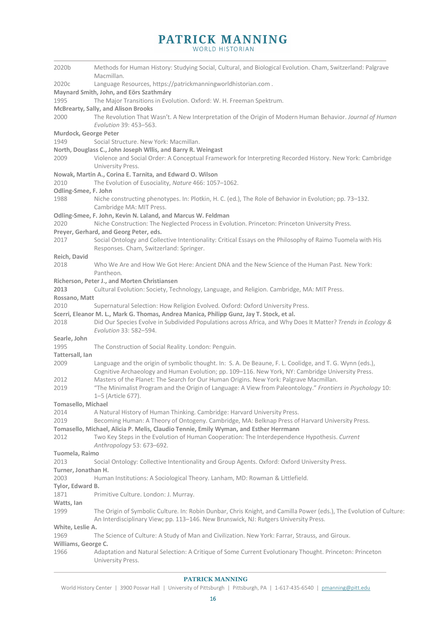| 2020b                 | Methods for Human History: Studying Social, Cultural, and Biological Evolution. Cham, Switzerland: Palgrave<br>Macmillan.                                                                   |
|-----------------------|---------------------------------------------------------------------------------------------------------------------------------------------------------------------------------------------|
| 2020c                 | Language Resources, https://patrickmanningworldhistorian.com.                                                                                                                               |
|                       | Maynard Smith, John, and Eörs Szathmáry                                                                                                                                                     |
| 1995                  | The Major Transitions in Evolution. Oxford: W. H. Freeman Spektrum.                                                                                                                         |
|                       | <b>McBrearty, Sally, and Alison Brooks</b>                                                                                                                                                  |
| 2000                  | The Revolution That Wasn't. A New Interpretation of the Origin of Modern Human Behavior. Journal of Human<br>Evolution 39: 453-563.                                                         |
| Murdock, George Peter |                                                                                                                                                                                             |
| 1949                  | Social Structure. New York: Macmillan.                                                                                                                                                      |
|                       | North, Douglass C., John Joseph Wilis, and Barry R. Weingast                                                                                                                                |
| 2009                  | Violence and Social Order: A Conceptual Framework for Interpreting Recorded History. New York: Cambridge<br>University Press.                                                               |
|                       | Nowak, Martin A., Corina E. Tarnita, and Edward O. Wilson                                                                                                                                   |
| 2010                  | The Evolution of Eusociality, Nature 466: 1057-1062.                                                                                                                                        |
| Odling-Smee, F. John  |                                                                                                                                                                                             |
| 1988                  | Niche constructing phenotypes. In: Plotkin, H. C. (ed.), The Role of Behavior in Evolution; pp. 73–132.<br>Cambridge MA: MIT Press.                                                         |
|                       | Odling-Smee, F. John, Kevin N. Laland, and Marcus W. Feldman                                                                                                                                |
| 2020                  | Niche Construction: The Neglected Process in Evolution. Princeton: Princeton University Press.                                                                                              |
|                       | Preyer, Gerhard, and Georg Peter, eds.                                                                                                                                                      |
| 2017                  | Social Ontology and Collective Intentionality: Critical Essays on the Philosophy of Raimo Tuomela with His                                                                                  |
|                       | Responses. Cham, Switzerland: Springer.                                                                                                                                                     |
| Reich, David          |                                                                                                                                                                                             |
| 2018                  | Who We Are and How We Got Here: Ancient DNA and the New Science of the Human Past. New York:                                                                                                |
|                       | Pantheon.                                                                                                                                                                                   |
|                       | Richerson, Peter J., and Morten Christiansen                                                                                                                                                |
| 2013                  | Cultural Evolution: Society, Technology, Language, and Religion. Cambridge, MA: MIT Press.                                                                                                  |
| Rossano, Matt<br>2010 | Supernatural Selection: How Religion Evolved. Oxford: Oxford University Press.                                                                                                              |
|                       | Scerri, Eleanor M. L., Mark G. Thomas, Andrea Manica, Philipp Gunz, Jay T. Stock, et al.                                                                                                    |
| 2018                  | Did Our Species Evolve in Subdivided Populations across Africa, and Why Does It Matter? Trends in Ecology &<br>Evolution 33: 582-594.                                                       |
| Searle, John          |                                                                                                                                                                                             |
| 1995                  | The Construction of Social Reality. London: Penguin.                                                                                                                                        |
| Tattersall, Ian       |                                                                                                                                                                                             |
| 2009                  | Language and the origin of symbolic thought. In: S. A. De Beaune, F. L. Coolidge, and T. G. Wynn (eds.),                                                                                    |
| 2012                  | Cognitive Archaeology and Human Evolution; pp. 109-116. New York, NY: Cambridge University Press.<br>Masters of the Planet: The Search for Our Human Origins. New York: Palgrave Macmillan. |
| 2019                  | "The Minimalist Program and the Origin of Language: A View from Paleontology." Frontiers in Psychology 10:                                                                                  |
|                       | 1-5 (Article 677).                                                                                                                                                                          |
| Tomasello, Michael    |                                                                                                                                                                                             |
| 2014                  | A Natural History of Human Thinking. Cambridge: Harvard University Press.                                                                                                                   |
| 2019                  | Becoming Human: A Theory of Ontogeny. Cambridge, MA: Belknap Press of Harvard University Press.                                                                                             |
|                       | Tomasello, Michael, Alicia P. Melis, Claudio Tennie, Emily Wyman, and Esther Herrmann                                                                                                       |
| 2012                  | Two Key Steps in the Evolution of Human Cooperation: The Interdependence Hypothesis. Current<br>Anthropology 53: 673-692.                                                                   |
| Tuomela, Raimo        |                                                                                                                                                                                             |
| 2013                  | Social Ontology: Collective Intentionality and Group Agents. Oxford: Oxford University Press.                                                                                               |
| Turner, Jonathan H.   |                                                                                                                                                                                             |
| 2003                  | Human Institutions: A Sociological Theory. Lanham, MD: Rowman & Littlefield.                                                                                                                |
| Tylor, Edward B.      |                                                                                                                                                                                             |
| 1871<br>Watts, lan    | Primitive Culture. London: J. Murray.                                                                                                                                                       |
| 1999                  | The Origin of Symbolic Culture. In: Robin Dunbar, Chris Knight, and Camilla Power (eds.), The Evolution of Culture:                                                                         |
|                       | An Interdisciplinary View; pp. 113-146. New Brunswick, NJ: Rutgers University Press.                                                                                                        |
| White, Leslie A.      |                                                                                                                                                                                             |
| 1969                  | The Science of Culture: A Study of Man and Civilization. New York: Farrar, Strauss, and Giroux.                                                                                             |
| Williams, George C.   |                                                                                                                                                                                             |
| 1966                  | Adaptation and Natural Selection: A Critique of Some Current Evolutionary Thought. Princeton: Princeton<br>University Press.                                                                |